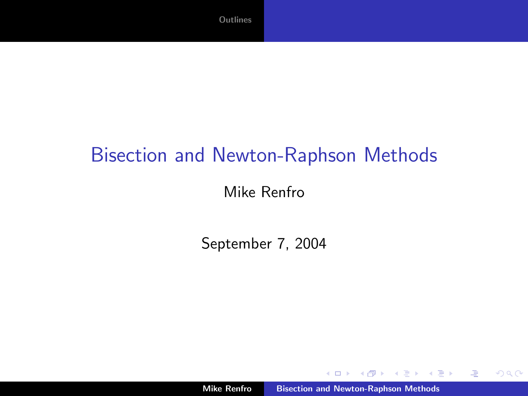## Bisection and Newton-Raphson Methods

#### Mike Renfro

September 7, 2004

 $4.171.6$ 

メ御き メミメ メミメ

 $\equiv$ 

<span id="page-0-0"></span> $299$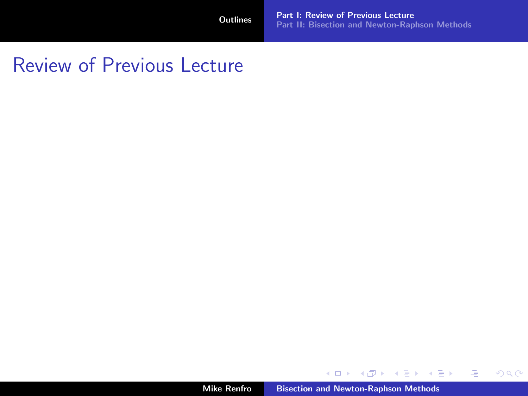# Review of Previous Lecture

Mike Renfro [Bisection and Newton-Raphson Methods](#page-0-0)

メロメ メ都 メイモメ メモメー

重

<span id="page-1-0"></span> $299$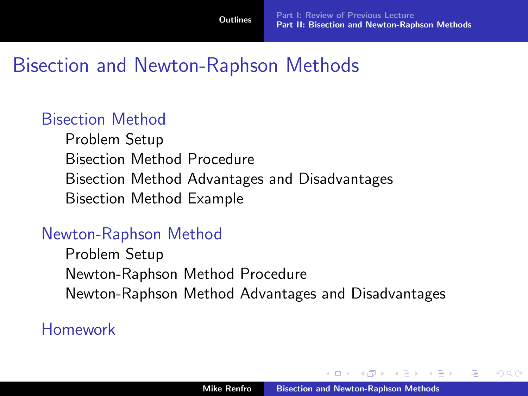## Bisection and Newton-Raphson Methods

#### [Bisection Method](#page-6-0)

[Problem Setup](#page-7-0) [Bisection Method Procedure](#page-8-0) [Bisection Method Advantages and Disadvantages](#page-10-0) [Bisection Method Example](#page-12-0)

#### [Newton-Raphson Method](#page-13-0)

[Problem Setup](#page-13-0) [Newton-Raphson Method Procedure](#page-14-0) [Newton-Raphson Method Advantages and Disadvantages](#page-15-0)

#### [Homework](#page-20-0)

 $\leftarrow$   $\Box$ 

 $\mathcal{A}$  and  $\mathcal{A}$  in the set of  $\mathbb{R}$  is

<span id="page-2-0"></span>へのへ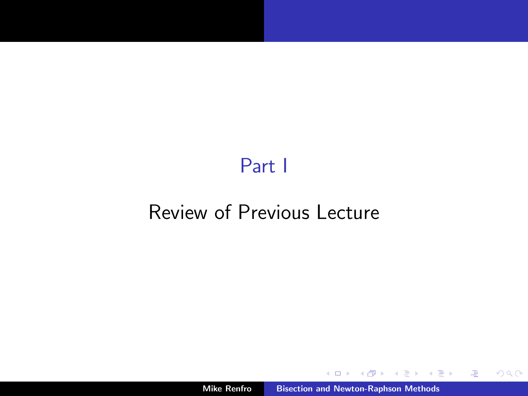# Part I

# [Review of Previous Lecture](#page-3-0)

モロト

メ団 トーマ ヨ トーマ ヨ ト

 $\equiv$ 

<span id="page-3-0"></span> $299$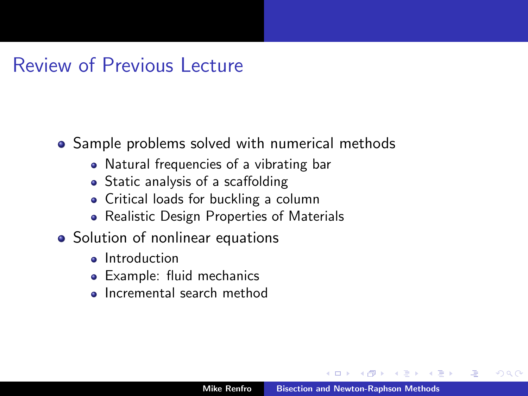### Review of Previous Lecture

- Sample problems solved with numerical methods
	- Natural frequencies of a vibrating bar
	- Static analysis of a scaffolding
	- Critical loads for buckling a column
	- Realistic Design Properties of Materials
- Solution of nonlinear equations
	- **o** Introduction
	- Example: fluid mechanics
	- **Incremental search method**

つのへ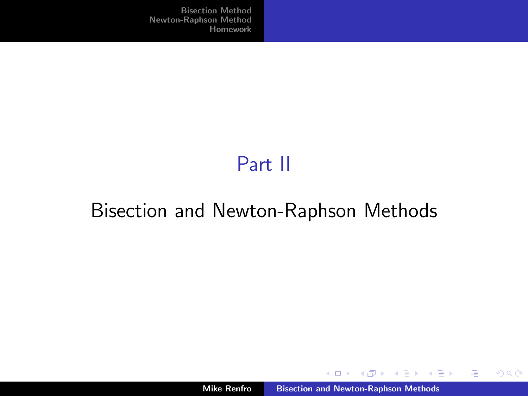# Part II

# [Bisection and Newton-Raphson Methods](#page-5-0)

メロメ メ御メ メミメ メミメー

 $\equiv$ 

<span id="page-5-0"></span> $299$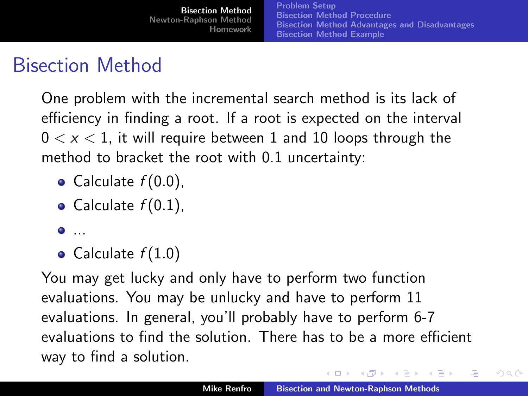# Bisection Method

One problem with the incremental search method is its lack of efficiency in finding a root. If a root is expected on the interval  $0 < x < 1$ , it will require between 1 and 10 loops through the method to bracket the root with 0.1 uncertainty:

- Calculate  $f(0.0)$ ,
- Calculate  $f(0.1)$ ,
- $\bullet$  ...
- Calculate  $f(1.0)$

You may get lucky and only have to perform two function evaluations. You may be unlucky and have to perform 11 evaluations. In general, you'll probably have to perform 6-7 evaluations to find the solution. There has to be a more efficient way to find a solution.

イロメ メタメ メミメ メミメ

<span id="page-6-0"></span> $\Omega$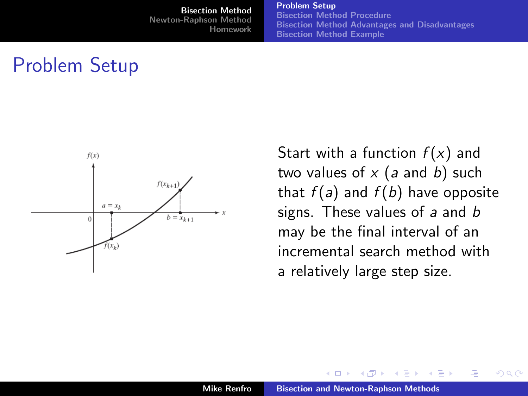[Problem Setup](#page-7-0) [Bisection Method Procedure](#page-8-0) [Bisection Method Advantages and Disadvantages](#page-10-0) [Bisection Method Example](#page-12-0)

# Problem Setup



Start with a function  $f(x)$  and two values of  $x$  (a and b) such that  $f(a)$  and  $f(b)$  have opposite signs. These values of  $a$  and  $b$ may be the final interval of an incremental search method with a relatively large step size.

すぎょうする

<span id="page-7-0"></span> $\Omega$ 

 $\leftarrow$   $\Box$ 

4 m +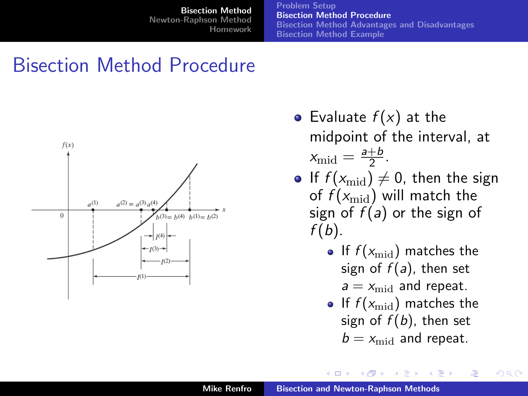[Problem Setup](#page-7-0) [Bisection Method Procedure](#page-8-0) [Bisection Method Advantages and Disadvantages](#page-10-0) [Bisection Method Example](#page-12-0)

### Bisection Method Procedure



- Evaluate  $f(x)$  at the midpoint of the interval, at  $x_{\text{mid}} = \frac{a+b}{2}$  $rac{+b}{2}$ .
- If  $f(x_{mid}) \neq 0$ , then the sign of  $f(x_{mid})$  will match the sign of  $f(a)$  or the sign of  $f(b)$ .
	- If  $f(x_{\text{mid}})$  matches the sign of  $f(a)$ , then set  $a = x_{\text{mid}}$  and repeat.
	- If  $f(x_{\text{mid}})$  matches the sign of  $f(b)$ , then set  $b = x_{\text{mid}}$  and repeat.

 $4 \overline{m}$   $\rightarrow$   $4 \overline{m}$   $\rightarrow$   $4$ 

<span id="page-8-0"></span>つひへ

4 m k 1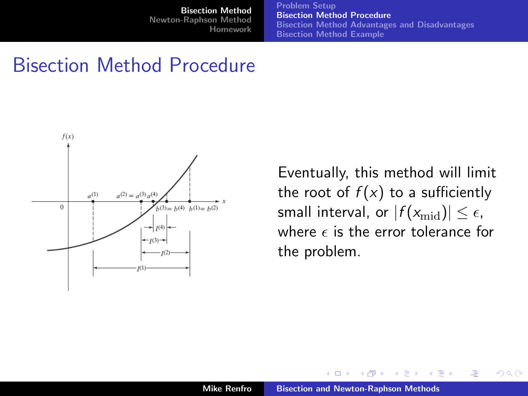[Problem Setup](#page-7-0) [Bisection Method Procedure](#page-8-0) [Bisection Method Advantages and Disadvantages](#page-10-0) [Bisection Method Example](#page-12-0)

### Bisection Method Procedure



Eventually, this method will limit the root of  $f(x)$  to a sufficiently small interval, or  $|f(x_{mid})| \leq \epsilon$ , where  $\epsilon$  is the error tolerance for the problem.

K 御 ▶ | K 唐 ▶ | K 唐 ▶

 $\Omega$ 

4 0 1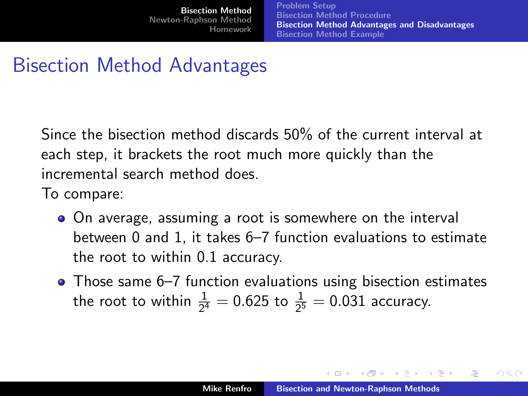[Problem Setup](#page-7-0) [Bisection Method Procedure](#page-8-0) [Bisection Method Advantages and Disadvantages](#page-10-0) [Bisection Method Example](#page-12-0)

# Bisection Method Advantages

Since the bisection method discards 50% of the current interval at each step, it brackets the root much more quickly than the incremental search method does.

To compare:

- On average, assuming a root is somewhere on the interval between 0 and 1, it takes 6–7 function evaluations to estimate the root to within 0.1 accuracy.
- Those same 6–7 function evaluations using bisection estimates the root to within  $\frac{1}{2^4} = 0.625$  to  $\frac{1}{2^5} = 0.031$  accuracy.

イロメ マ海 メラキシ マラメ

<span id="page-10-0"></span>つのへ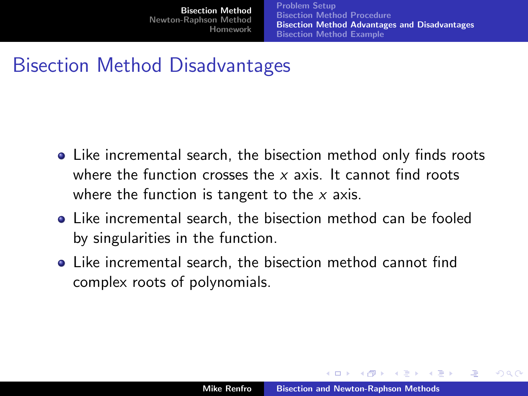[Problem Setup](#page-7-0) [Bisection Method Procedure](#page-8-0) [Bisection Method Advantages and Disadvantages](#page-10-0) [Bisection Method Example](#page-12-0)

# Bisection Method Disadvantages

- Like incremental search, the bisection method only finds roots where the function crosses the  $x$  axis. It cannot find roots where the function is tangent to the  $x$  axis.
- Like incremental search, the bisection method can be fooled by singularities in the function.
- Like incremental search, the bisection method cannot find complex roots of polynomials.

イロメ マ海 メラキシ マラメ

 $\Omega$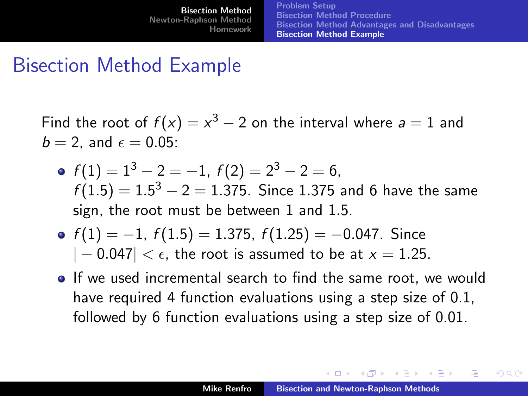[Bisection Method](#page-6-0) [Newton-Raphson Method](#page-13-0) [Homework](#page-20-0) [Problem Setup](#page-7-0) [Bisection Method Procedure](#page-8-0) [Bisection Method Advantages and Disadvantages](#page-10-0) [Bisection Method Example](#page-12-0)

### Bisection Method Example

Find the root of  $f(x) = x^3 - 2$  on the interval where  $a = 1$  and  $b = 2$ , and  $\epsilon = 0.05$ :

- $f(1) = 1^3 2 = -1$ ,  $f(2) = 2^3 2 = 6$ ,  $f(1.5)=1.5^3-2=1.375.$  Since 1.375 and 6 have the same sign, the root must be between 1 and 1.5.
- $f(1) = -1$ ,  $f(1.5) = 1.375$ ,  $f(1.25) = -0.047$ . Since  $|-0.047| < \epsilon$ , the root is assumed to be at  $x = 1.25$ .
- If we used incremental search to find the same root, we would have required 4 function evaluations using a step size of 0.1, followed by 6 function evaluations using a step size of 0.01.

イロメ マタメ マミメ マミメ

<span id="page-12-0"></span>つひへ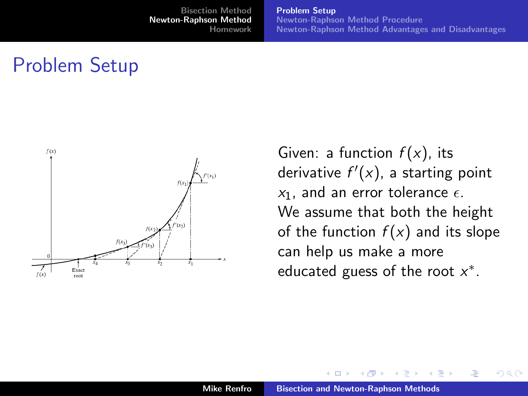[Problem Setup](#page-13-0) [Newton-Raphson Method Procedure](#page-14-0) [Newton-Raphson Method Advantages and Disadvantages](#page-15-0)

### Problem Setup



Given: a function  $f(x)$ , its derivative  $f'(x)$ , a starting point  $x_1$ , and an error tolerance  $\epsilon$ . We assume that both the height of the function  $f(x)$  and its slope can help us make a more educated guess of the root  $x^*$ .

 $\leftarrow$   $\Box$ 

4 ଲ  $\sim$  <span id="page-13-0"></span>つのへ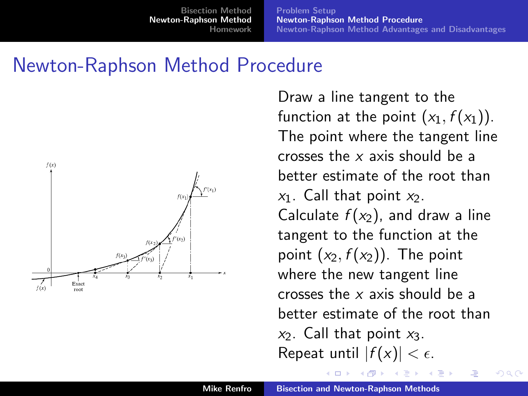[Problem Setup](#page-13-0) [Newton-Raphson Method Procedure](#page-14-0) [Newton-Raphson Method Advantages and Disadvantages](#page-15-0)

### Newton-Raphson Method Procedure



Draw a line tangent to the function at the point  $(x_1, f(x_1))$ . The point where the tangent line crosses the x axis should be a better estimate of the root than  $x_1$ . Call that point  $x_2$ . Calculate  $f(x_2)$ , and draw a line tangent to the function at the point  $(x_2, f(x_2))$ . The point where the new tangent line crosses the x axis should be a better estimate of the root than  $x_2$ . Call that point  $x_3$ . Repeat until  $|f(x)| < \epsilon$ .

<span id="page-14-0"></span>つのへ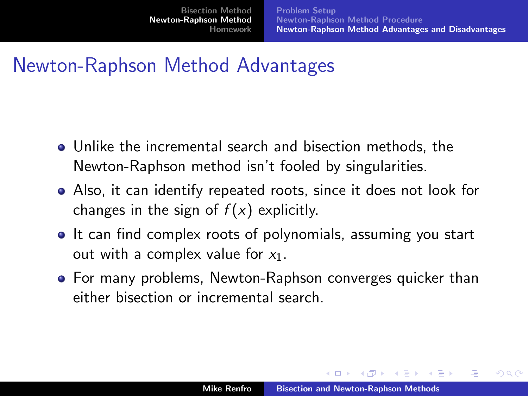## Newton-Raphson Method Advantages

- Unlike the incremental search and bisection methods, the Newton-Raphson method isn't fooled by singularities.
- Also, it can identify repeated roots, since it does not look for changes in the sign of  $f(x)$  explicitly.
- It can find complex roots of polynomials, assuming you start out with a complex value for  $x_1$ .
- For many problems, Newton-Raphson converges quicker than either bisection or incremental search.

イロメ マ海 メラキシ マラメ

<span id="page-15-0"></span>つひへ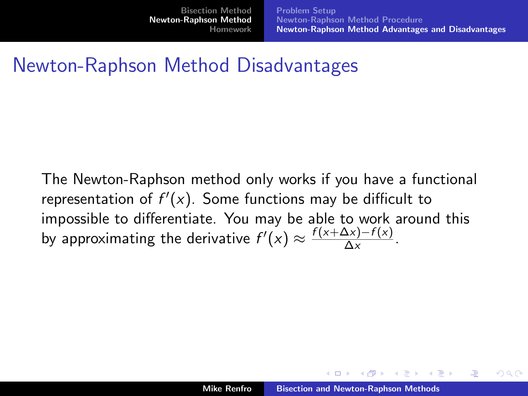[Problem Setup](#page-13-0) [Newton-Raphson Method Procedure](#page-14-0) [Newton-Raphson Method Advantages and Disadvantages](#page-15-0)

## Newton-Raphson Method Disadvantages

The Newton-Raphson method only works if you have a functional representation of  $f'(x)$ . Some functions may be difficult to impossible to differentiate. You may be able to work around this by approximating the derivative  $f'(x) \approx \frac{f(x+\Delta x)-f(x)}{\Delta x}$  $\frac{\Delta x - I(x)}{\Delta x}$ .

イロメ マ海 メース・マネス

へのへ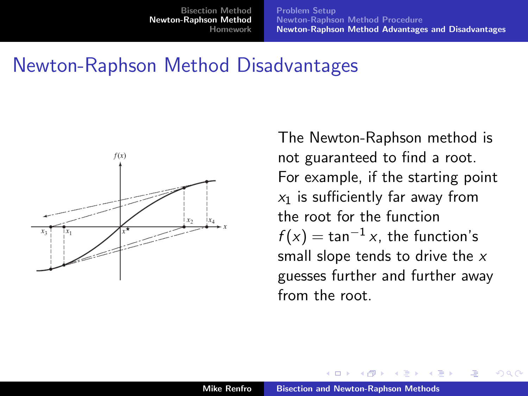[Problem Setup](#page-13-0) [Newton-Raphson Method Procedure](#page-14-0) [Newton-Raphson Method Advantages and Disadvantages](#page-15-0)

#### Newton-Raphson Method Disadvantages



The Newton-Raphson method is not guaranteed to find a root. For example, if the starting point  $x_1$  is sufficiently far away from the root for the function  $f(x) = \tan^{-1}x$ , the function's small slope tends to drive the x guesses further and further away from the root.

不満 あい

つのへ

 $\leftarrow$   $\Box$ 

4 ଲ ⊧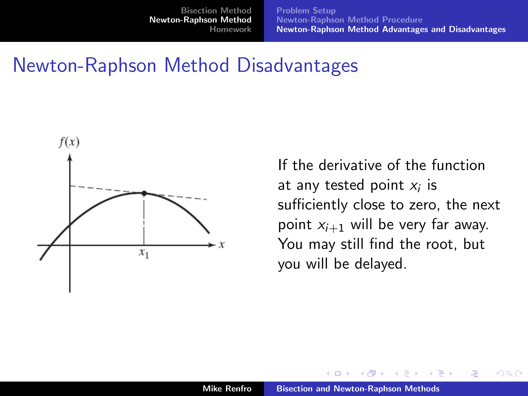[Problem Setup](#page-13-0) [Newton-Raphson Method Procedure](#page-14-0) [Newton-Raphson Method Advantages and Disadvantages](#page-15-0)

#### Newton-Raphson Method Disadvantages



If the derivative of the function at any tested point  $x_i$  is sufficiently close to zero, the next point  $x_{i+1}$  will be very far away. You may still find the root, but you will be delayed.

 $\Omega$ 

 $\leftarrow$   $\Box$ 

4 ଲ **B**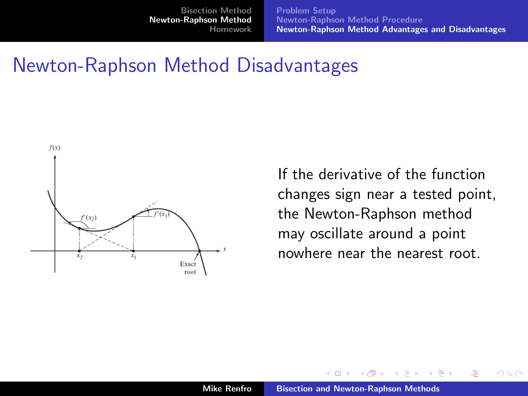[Problem Setup](#page-13-0) [Newton-Raphson Method Procedure](#page-14-0) [Newton-Raphson Method Advantages and Disadvantages](#page-15-0)

#### Newton-Raphson Method Disadvantages



If the derivative of the function changes sign near a tested point, the Newton-Raphson method may oscillate around a point nowhere near the nearest root.

 $\Omega$ 

 $\leftarrow$   $\Box$ 

4 ଲ **B**  $\rightarrow$   $\equiv$   $\rightarrow$